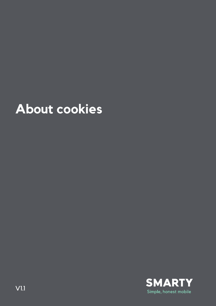# **About cookies**

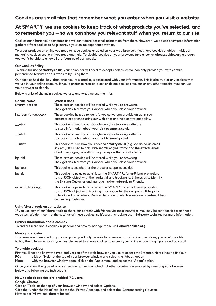# **Cookies are small files that remember what you enter when you visit a website.**

# **At SMARTY, we use cookies to keep track of what products you've selected, and to remember you – so we can show you relevant stuff when you return to our site.**

Cookies can't harm your computer and we don't store personal information from them. However, we do use encrypted information gathered from cookies to help improve your online experience with us.

To order products on online you need to have cookies enabled on your web browser. Most have cookies enabled – visit our managing cookies section if you need any help. To disable cookies on your browser, take a look at **aboutcookies.org** although you won't be able to enjoy all the features of our website

#### **Our Cookies Policy**

To make full use of **smarty.co.uk,** your computer will need to accept cookies, as we can only provide you with certain, personalised features of our website by using them.

Our cookies hold the 'key' that, once you're signed in, is associated with your information. This is also true of any cookies that we use in your online account. If you'd prefer to restrict, block or delete cookies from our or any other website, you can use your browser to do this.

Below is a list of the main cookies we use, and what we use them for.

| <b>Cookie Name</b><br>smarty_session | What it does<br>These session cookies will be stored while you're browsing.<br>They get deleted from your device when you close your browser                                                                                                                     |
|--------------------------------------|------------------------------------------------------------------------------------------------------------------------------------------------------------------------------------------------------------------------------------------------------------------|
| intercom-id-xxxxxxxx                 | These cookies help us to identify you so we can provide an optimised<br>customer experience using our web chat and help centre capability.                                                                                                                       |
| utma                                 | This cookie is used by our Google analytics tracking software<br>to store information about your visit to smarty.co.uk.                                                                                                                                          |
| utmb                                 | This cookie is used by our Google analytics tracking software<br>to store information about your visit to smarty.co.uk.                                                                                                                                          |
| utmz                                 | This cookie tells us how you reached smarty.co.uk (e.g. via an ad, an email<br>link etc.). It's used to calculate search engine traffic and the effectiveness<br>of ad campaigns, as well as the journeys within smarty.co.uk.                                   |
| bp_sid                               | These session cookies will be stored while you're browsing.<br>They get deleted from your device when you close your browser.                                                                                                                                    |
| bp_test                              | This cookie tests whether the browser supports cookies                                                                                                                                                                                                           |
| bp_tid                               | This cookie helps us to administer the SMARTY Refer-a-Friend promotion.<br>It is a JSON object with the market id and tracking id. It helps us to identify<br>the Existing Customer and manage his/her referrals to Friends.                                     |
| referral_tracking_                   | This cookie helps us to administer the SMARTY Refer-a-Friend promotion.<br>It is a JSON object with tracking information for the campaign. It helps us<br>to track and administer a Reward to a Friend who has received a referral from<br>an Existing Customer. |

#### **Using 'share' tools on our website**

If you use any of our 'share' tools to share our content with friends via social networks, you may be sent cookies from these websites. We don't control the settings of these cookies, so it's worth checking the third-party websites for more information.

### **Further information about cookies.**

To find out more about cookies in general and how to manage them, visit **aboutcookies.org**

#### **Managing cookies**

If cookies aren't enabled on your computer you'll only be able to browse our products and services, you won't be able to buy them. In some cases, you may also need to enable cookies to access your online account login page and pay a bill.

#### **To enable cookies:**

First you'll need to know the type and version of the web browser you use to access the Internet. Here's how to find out: **PCs** click on 'Help' at the top of your browser window and select the 'About' option

**Macs** with the browser window open, click on the Apple menu and select the 'About' option

Once you know the type of browser you've got you can check whether cookies are enabled by selecting your browser below and following the instructions:

#### **How to check cookies are enabled (PC users). Google Chrome.**

Click on 'Tools' at the top of your browser window and select 'Options'.

Click the 'Under the Hood' tab, locate the 'Privacy' section, and select the 'Content settings' button. Now select 'Allow local data to be set'.